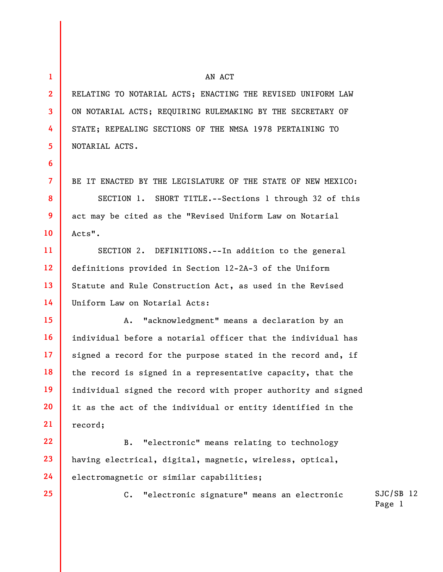1 2 3 4 5 6 7 8 9 10 11 12 13 14 15 16 17 18 19 20 21 22 23 AN ACT RELATING TO NOTARIAL ACTS; ENACTING THE REVISED UNIFORM LAW ON NOTARIAL ACTS; REQUIRING RULEMAKING BY THE SECRETARY OF STATE; REPEALING SECTIONS OF THE NMSA 1978 PERTAINING TO NOTARIAL ACTS. Acts". Uniform Law on Notarial Acts: record;

25

BE IT ENACTED BY THE LEGISLATURE OF THE STATE OF NEW MEXICO:

SECTION 1. SHORT TITLE.--Sections 1 through 32 of this act may be cited as the "Revised Uniform Law on Notarial

SECTION 2. DEFINITIONS.--In addition to the general definitions provided in Section 12-2A-3 of the Uniform Statute and Rule Construction Act, as used in the Revised

A. "acknowledgment" means a declaration by an individual before a notarial officer that the individual has signed a record for the purpose stated in the record and, if the record is signed in a representative capacity, that the individual signed the record with proper authority and signed it as the act of the individual or entity identified in the

24 B. "electronic" means relating to technology having electrical, digital, magnetic, wireless, optical, electromagnetic or similar capabilities;

C. "electronic signature" means an electronic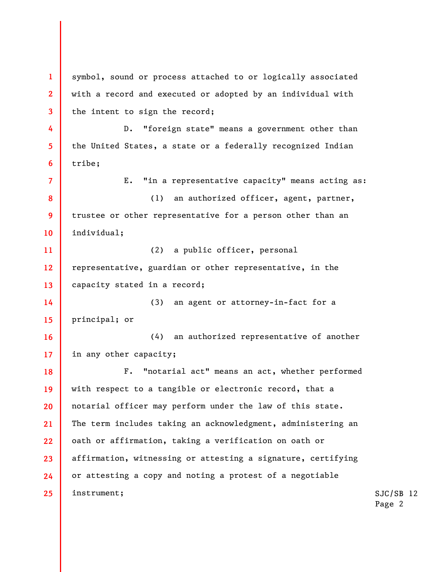1 2 3 4 5 6 7 8 9 10 11 12 13 14 15 16 17 18 19 20 21 22 23 24 25 symbol, sound or process attached to or logically associated with a record and executed or adopted by an individual with the intent to sign the record; D. "foreign state" means a government other than the United States, a state or a federally recognized Indian tribe; E. "in a representative capacity" means acting as: (1) an authorized officer, agent, partner, trustee or other representative for a person other than an individual; (2) a public officer, personal representative, guardian or other representative, in the capacity stated in a record; (3) an agent or attorney-in-fact for a principal; or (4) an authorized representative of another in any other capacity; F. "notarial act" means an act, whether performed with respect to a tangible or electronic record, that a notarial officer may perform under the law of this state. The term includes taking an acknowledgment, administering an oath or affirmation, taking a verification on oath or affirmation, witnessing or attesting a signature, certifying or attesting a copy and noting a protest of a negotiable instrument;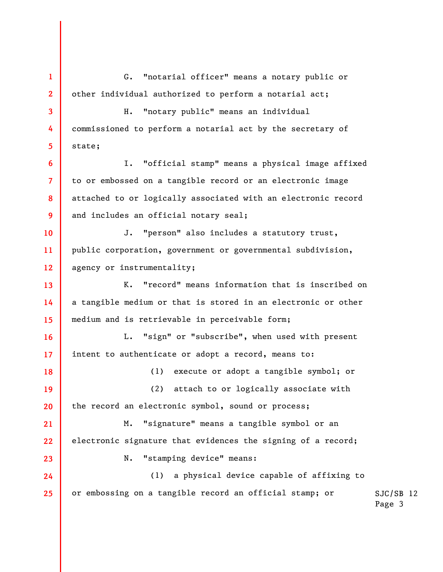1 2 3 4 5 6 7 8 9 10 11 12 13 14 15 16 17 18 19 20 21 22 23 24 25 G. "notarial officer" means a notary public or other individual authorized to perform a notarial act; H. "notary public" means an individual commissioned to perform a notarial act by the secretary of state; I. "official stamp" means a physical image affixed to or embossed on a tangible record or an electronic image attached to or logically associated with an electronic record and includes an official notary seal; J. "person" also includes a statutory trust, public corporation, government or governmental subdivision, agency or instrumentality; K. "record" means information that is inscribed on a tangible medium or that is stored in an electronic or other medium and is retrievable in perceivable form; L. "sign" or "subscribe", when used with present intent to authenticate or adopt a record, means to: (1) execute or adopt a tangible symbol; or (2) attach to or logically associate with the record an electronic symbol, sound or process; M. "signature" means a tangible symbol or an electronic signature that evidences the signing of a record; N. "stamping device" means: (1) a physical device capable of affixing to or embossing on a tangible record an official stamp; or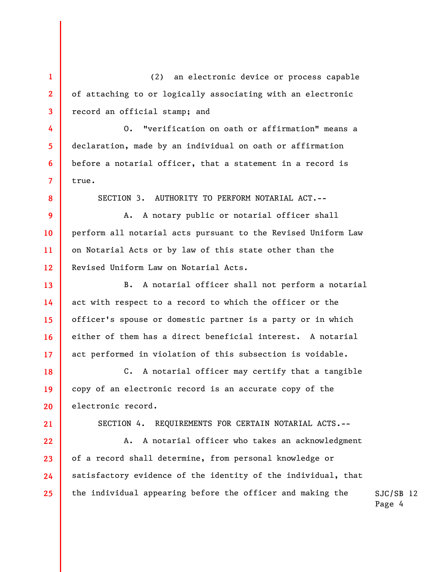1 2 3 (2) an electronic device or process capable of attaching to or logically associating with an electronic record an official stamp; and

O. "verification on oath or affirmation" means a declaration, made by an individual on oath or affirmation before a notarial officer, that a statement in a record is true.

SECTION 3. AUTHORITY TO PERFORM NOTARIAL ACT.--

A. A notary public or notarial officer shall perform all notarial acts pursuant to the Revised Uniform Law on Notarial Acts or by law of this state other than the Revised Uniform Law on Notarial Acts.

B. A notarial officer shall not perform a notarial act with respect to a record to which the officer or the officer's spouse or domestic partner is a party or in which either of them has a direct beneficial interest. A notarial act performed in violation of this subsection is voidable.

C. A notarial officer may certify that a tangible copy of an electronic record is an accurate copy of the electronic record.

21

22

23

24

25

4

5

6

7

8

9

10

11

12

13

14

15

16

17

18

19

20

SECTION 4. REQUIREMENTS FOR CERTAIN NOTARIAL ACTS.--

A. A notarial officer who takes an acknowledgment of a record shall determine, from personal knowledge or satisfactory evidence of the identity of the individual, that the individual appearing before the officer and making the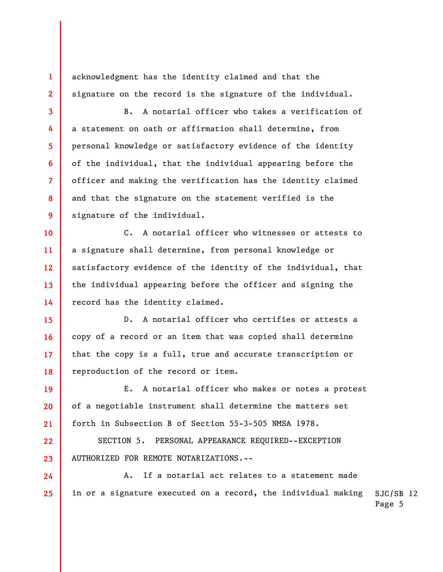acknowledgment has the identity claimed and that the signature on the record is the signature of the individual.

1

2

3

4

5

6

7

8

9

10

19

20

21

22

23

24

25

B. A notarial officer who takes a verification of a statement on oath or affirmation shall determine, from personal knowledge or satisfactory evidence of the identity of the individual, that the individual appearing before the officer and making the verification has the identity claimed and that the signature on the statement verified is the signature of the individual.

11 12 13 14 C. A notarial officer who witnesses or attests to a signature shall determine, from personal knowledge or satisfactory evidence of the identity of the individual, that the individual appearing before the officer and signing the record has the identity claimed.

15 16 17 18 D. A notarial officer who certifies or attests a copy of a record or an item that was copied shall determine that the copy is a full, true and accurate transcription or reproduction of the record or item.

E. A notarial officer who makes or notes a protest of a negotiable instrument shall determine the matters set forth in Subsection B of Section 55-3-505 NMSA 1978.

SECTION 5. PERSONAL APPEARANCE REQUIRED--EXCEPTION AUTHORIZED FOR REMOTE NOTARIZATIONS.--

SJC/SB 12 A. If a notarial act relates to a statement made in or a signature executed on a record, the individual making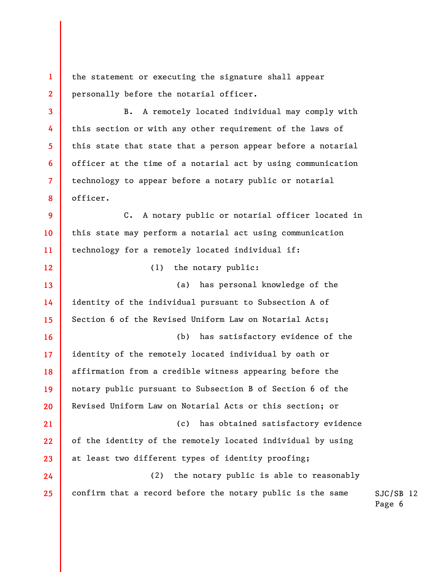1 2 the statement or executing the signature shall appear personally before the notarial officer.

3

4

5

6

7

8

12

24

25

B. A remotely located individual may comply with this section or with any other requirement of the laws of this state that state that a person appear before a notarial officer at the time of a notarial act by using communication technology to appear before a notary public or notarial officer.

9 10 11 C. A notary public or notarial officer located in this state may perform a notarial act using communication technology for a remotely located individual if:

(1) the notary public:

13 14 15 (a) has personal knowledge of the identity of the individual pursuant to Subsection A of Section 6 of the Revised Uniform Law on Notarial Acts;

16 17 18 19 20 21 22 23 (b) has satisfactory evidence of the identity of the remotely located individual by oath or affirmation from a credible witness appearing before the notary public pursuant to Subsection B of Section 6 of the Revised Uniform Law on Notarial Acts or this section; or (c) has obtained satisfactory evidence of the identity of the remotely located individual by using at least two different types of identity proofing;

(2) the notary public is able to reasonably confirm that a record before the notary public is the same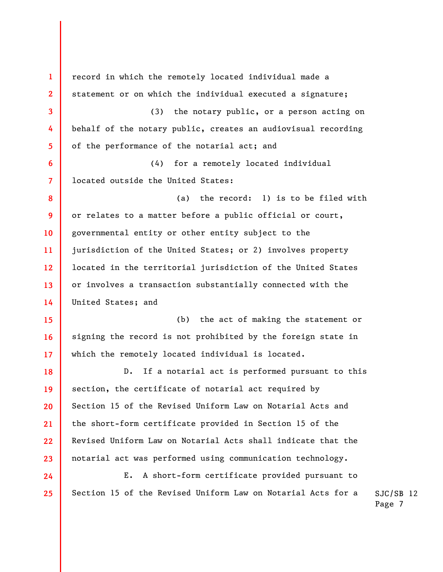SJC/SB 12 Page 7 1 2 3 4 5 6 7 8 9 10 11 12 13 14 15 16 17 18 19 20 21 22 23 24 25 record in which the remotely located individual made a statement or on which the individual executed a signature; (3) the notary public, or a person acting on behalf of the notary public, creates an audiovisual recording of the performance of the notarial act; and (4) for a remotely located individual located outside the United States: (a) the record: 1) is to be filed with or relates to a matter before a public official or court, governmental entity or other entity subject to the jurisdiction of the United States; or 2) involves property located in the territorial jurisdiction of the United States or involves a transaction substantially connected with the United States; and (b) the act of making the statement or signing the record is not prohibited by the foreign state in which the remotely located individual is located. D. If a notarial act is performed pursuant to this section, the certificate of notarial act required by Section 15 of the Revised Uniform Law on Notarial Acts and the short-form certificate provided in Section 15 of the Revised Uniform Law on Notarial Acts shall indicate that the notarial act was performed using communication technology. E. A short-form certificate provided pursuant to Section 15 of the Revised Uniform Law on Notarial Acts for a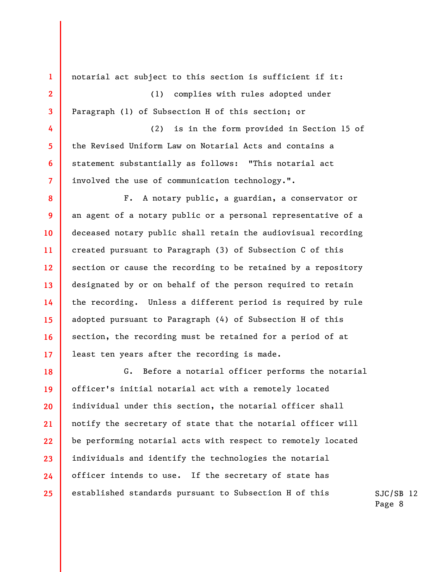1 2 3 4 5 6 7 8 9 10 11 12 13 14 15 16 17 18 19 20 21 22 23 24 notarial act subject to this section is sufficient if it: (1) complies with rules adopted under Paragraph (1) of Subsection H of this section; or (2) is in the form provided in Section 15 of the Revised Uniform Law on Notarial Acts and contains a statement substantially as follows: "This notarial act involved the use of communication technology.". F. A notary public, a guardian, a conservator or an agent of a notary public or a personal representative of a deceased notary public shall retain the audiovisual recording created pursuant to Paragraph (3) of Subsection C of this section or cause the recording to be retained by a repository designated by or on behalf of the person required to retain the recording. Unless a different period is required by rule adopted pursuant to Paragraph (4) of Subsection H of this section, the recording must be retained for a period of at least ten years after the recording is made. G. Before a notarial officer performs the notarial officer's initial notarial act with a remotely located individual under this section, the notarial officer shall notify the secretary of state that the notarial officer will be performing notarial acts with respect to remotely located individuals and identify the technologies the notarial officer intends to use. If the secretary of state has

established standards pursuant to Subsection H of this

25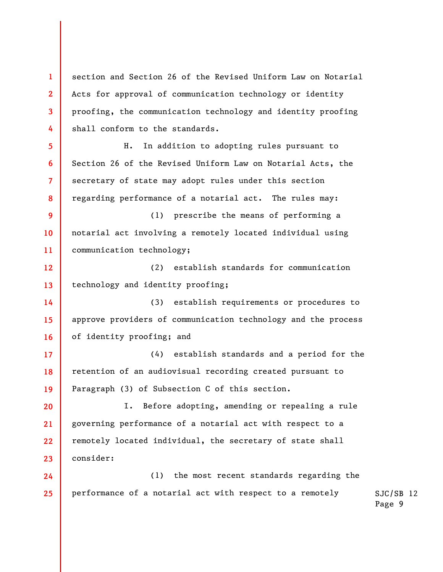1 2 3 4 5 6 7 8 9 10 11 12 13 14 15 16 17 18 19 20 21 22 23 24 25 section and Section 26 of the Revised Uniform Law on Notarial Acts for approval of communication technology or identity proofing, the communication technology and identity proofing shall conform to the standards. H. In addition to adopting rules pursuant to Section 26 of the Revised Uniform Law on Notarial Acts, the secretary of state may adopt rules under this section regarding performance of a notarial act. The rules may: (1) prescribe the means of performing a notarial act involving a remotely located individual using communication technology; (2) establish standards for communication technology and identity proofing; (3) establish requirements or procedures to approve providers of communication technology and the process of identity proofing; and (4) establish standards and a period for the retention of an audiovisual recording created pursuant to Paragraph (3) of Subsection C of this section. I. Before adopting, amending or repealing a rule governing performance of a notarial act with respect to a remotely located individual, the secretary of state shall consider: (1) the most recent standards regarding the performance of a notarial act with respect to a remotely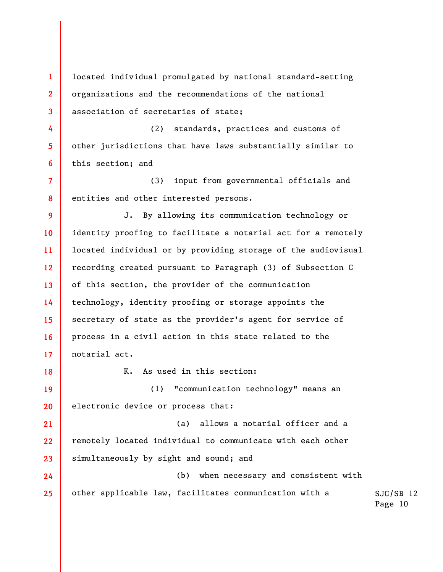1 2 3 located individual promulgated by national standard-setting organizations and the recommendations of the national association of secretaries of state;

4 5 6 (2) standards, practices and customs of other jurisdictions that have laws substantially similar to this section; and

7 8 (3) input from governmental officials and entities and other interested persons.

9 10 11 12 13 14 15 16 17 J. By allowing its communication technology or identity proofing to facilitate a notarial act for a remotely located individual or by providing storage of the audiovisual recording created pursuant to Paragraph (3) of Subsection C of this section, the provider of the communication technology, identity proofing or storage appoints the secretary of state as the provider's agent for service of process in a civil action in this state related to the notarial act.

18

K. As used in this section:

(1) "communication technology" means an electronic device or process that:

(a) allows a notarial officer and a remotely located individual to communicate with each other simultaneously by sight and sound; and

24 25 (b) when necessary and consistent with other applicable law, facilitates communication with a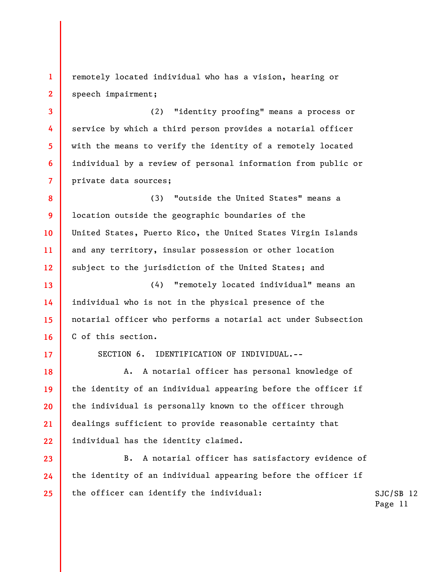1 2 remotely located individual who has a vision, hearing or speech impairment;

(2) "identity proofing" means a process or service by which a third person provides a notarial officer with the means to verify the identity of a remotely located individual by a review of personal information from public or private data sources;

8 9 10 11 12 (3) "outside the United States" means a location outside the geographic boundaries of the United States, Puerto Rico, the United States Virgin Islands and any territory, insular possession or other location subject to the jurisdiction of the United States; and

(4) "remotely located individual" means an individual who is not in the physical presence of the notarial officer who performs a notarial act under Subsection C of this section.

17

13

14

15

16

18

19

20

21

22

3

4

5

6

7

SECTION 6. IDENTIFICATION OF INDIVIDUAL.--

A. A notarial officer has personal knowledge of the identity of an individual appearing before the officer if the individual is personally known to the officer through dealings sufficient to provide reasonable certainty that individual has the identity claimed.

SJC/SB 12 23 24 25 B. A notarial officer has satisfactory evidence of the identity of an individual appearing before the officer if the officer can identify the individual: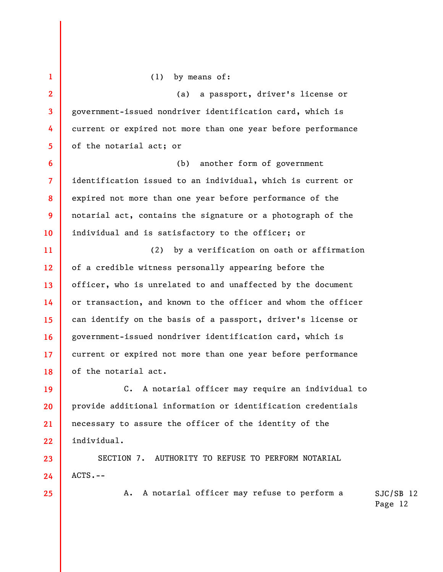1 2 3 4 5 6 7 8 9 10 11 12 13 14 15 16 17 18 19 20 21 22 23 24 (1) by means of: (a) a passport, driver's license or government-issued nondriver identification card, which is current or expired not more than one year before performance of the notarial act; or (b) another form of government identification issued to an individual, which is current or expired not more than one year before performance of the notarial act, contains the signature or a photograph of the individual and is satisfactory to the officer; or (2) by a verification on oath or affirmation of a credible witness personally appearing before the officer, who is unrelated to and unaffected by the document or transaction, and known to the officer and whom the officer can identify on the basis of a passport, driver's license or government-issued nondriver identification card, which is current or expired not more than one year before performance of the notarial act. C. A notarial officer may require an individual to provide additional information or identification credentials necessary to assure the officer of the identity of the individual. SECTION 7. AUTHORITY TO REFUSE TO PERFORM NOTARIAL ACTS.--

A. A notarial officer may refuse to perform a

25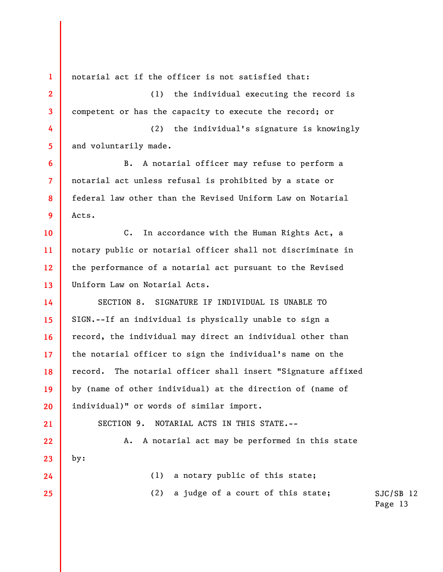1 2 3 4 5 6 7 8 9 10 11 12 13 14 15 16 17 18 19 20 21 22 23 24 25 notarial act if the officer is not satisfied that: (1) the individual executing the record is competent or has the capacity to execute the record; or (2) the individual's signature is knowingly and voluntarily made. B. A notarial officer may refuse to perform a notarial act unless refusal is prohibited by a state or federal law other than the Revised Uniform Law on Notarial Acts. C. In accordance with the Human Rights Act, a notary public or notarial officer shall not discriminate in the performance of a notarial act pursuant to the Revised Uniform Law on Notarial Acts. SECTION 8. SIGNATURE IF INDIVIDUAL IS UNABLE TO SIGN.--If an individual is physically unable to sign a record, the individual may direct an individual other than the notarial officer to sign the individual's name on the record. The notarial officer shall insert "Signature affixed by (name of other individual) at the direction of (name of individual)" or words of similar import. SECTION 9. NOTARIAL ACTS IN THIS STATE.-- A. A notarial act may be performed in this state by: (1) a notary public of this state; (2) a judge of a court of this state;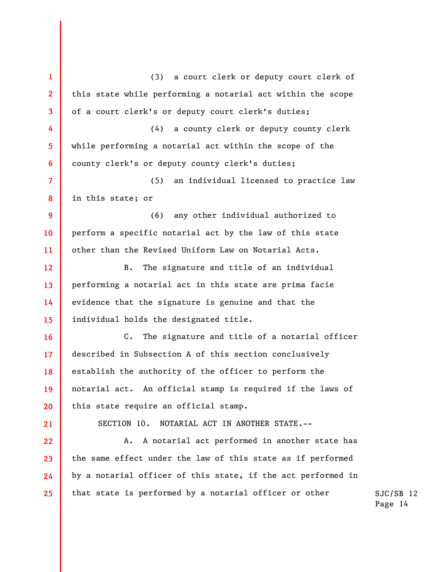1 2 3 4 5 6 7 8 9 10 11 12 13 14 15 16 17 18 19 20 21 22 23 24 25 (3) a court clerk or deputy court clerk of this state while performing a notarial act within the scope of a court clerk's or deputy court clerk's duties; (4) a county clerk or deputy county clerk while performing a notarial act within the scope of the county clerk's or deputy county clerk's duties; (5) an individual licensed to practice law in this state; or (6) any other individual authorized to perform a specific notarial act by the law of this state other than the Revised Uniform Law on Notarial Acts. B. The signature and title of an individual performing a notarial act in this state are prima facie evidence that the signature is genuine and that the individual holds the designated title. C. The signature and title of a notarial officer described in Subsection A of this section conclusively establish the authority of the officer to perform the notarial act. An official stamp is required if the laws of this state require an official stamp. SECTION 10. NOTARIAL ACT IN ANOTHER STATE.-- A. A notarial act performed in another state has the same effect under the law of this state as if performed by a notarial officer of this state, if the act performed in that state is performed by a notarial officer or other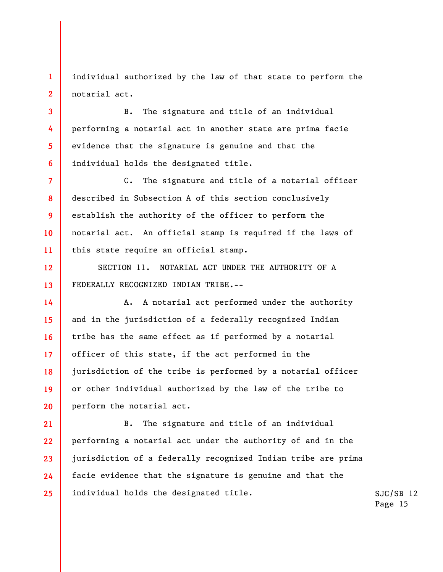individual authorized by the law of that state to perform the notarial act.

1

2

3

4

5

6

7

8

9

10

11

12

13

B. The signature and title of an individual performing a notarial act in another state are prima facie evidence that the signature is genuine and that the individual holds the designated title.

C. The signature and title of a notarial officer described in Subsection A of this section conclusively establish the authority of the officer to perform the notarial act. An official stamp is required if the laws of this state require an official stamp.

SECTION 11. NOTARIAL ACT UNDER THE AUTHORITY OF A FEDERALLY RECOGNIZED INDIAN TRIBE.--

14 15 16 17 18 19 20 A. A notarial act performed under the authority and in the jurisdiction of a federally recognized Indian tribe has the same effect as if performed by a notarial officer of this state, if the act performed in the jurisdiction of the tribe is performed by a notarial officer or other individual authorized by the law of the tribe to perform the notarial act.

21 22 23 24 25 B. The signature and title of an individual performing a notarial act under the authority of and in the jurisdiction of a federally recognized Indian tribe are prima facie evidence that the signature is genuine and that the individual holds the designated title.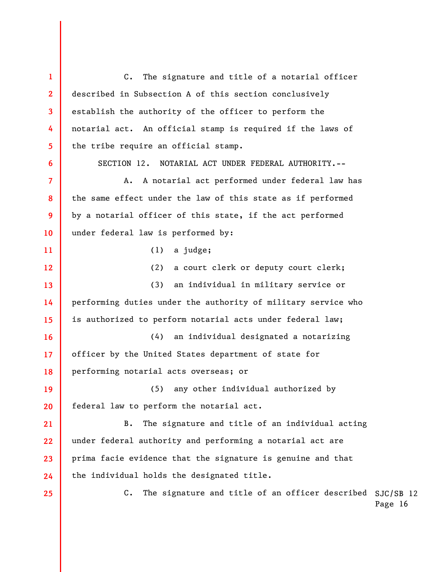C. The signature and title of an officer described SJC/SB 12 1 2 3 4 5 6 7 8 9 10 11 12 13 14 15 16 17 18 19 20 21 22 23 24 25 C. The signature and title of a notarial officer described in Subsection A of this section conclusively establish the authority of the officer to perform the notarial act. An official stamp is required if the laws of the tribe require an official stamp. SECTION 12. NOTARIAL ACT UNDER FEDERAL AUTHORITY.-- A. A notarial act performed under federal law has the same effect under the law of this state as if performed by a notarial officer of this state, if the act performed under federal law is performed by: (1) a judge; (2) a court clerk or deputy court clerk; (3) an individual in military service or performing duties under the authority of military service who is authorized to perform notarial acts under federal law; (4) an individual designated a notarizing officer by the United States department of state for performing notarial acts overseas; or (5) any other individual authorized by federal law to perform the notarial act. B. The signature and title of an individual acting under federal authority and performing a notarial act are prima facie evidence that the signature is genuine and that the individual holds the designated title.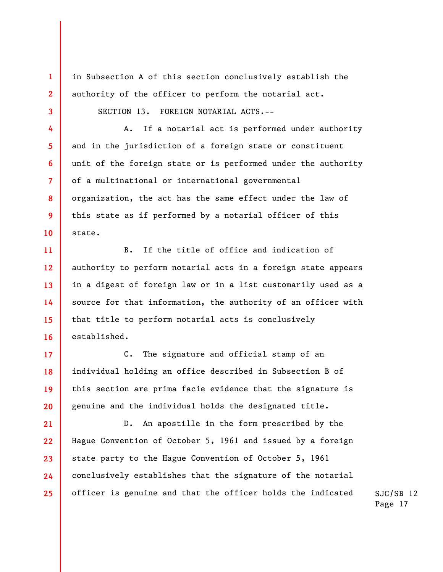in Subsection A of this section conclusively establish the authority of the officer to perform the notarial act.

SECTION 13. FOREIGN NOTARIAL ACTS.--

1

2

3

4

5

6

7

8

9

10

17

19

20

A. If a notarial act is performed under authority and in the jurisdiction of a foreign state or constituent unit of the foreign state or is performed under the authority of a multinational or international governmental organization, the act has the same effect under the law of this state as if performed by a notarial officer of this state.

11 12 13 14 15 16 B. If the title of office and indication of authority to perform notarial acts in a foreign state appears in a digest of foreign law or in a list customarily used as a source for that information, the authority of an officer with that title to perform notarial acts is conclusively established.

18 C. The signature and official stamp of an individual holding an office described in Subsection B of this section are prima facie evidence that the signature is genuine and the individual holds the designated title.

21 22 23 24 25 D. An apostille in the form prescribed by the Hague Convention of October 5, 1961 and issued by a foreign state party to the Hague Convention of October 5, 1961 conclusively establishes that the signature of the notarial officer is genuine and that the officer holds the indicated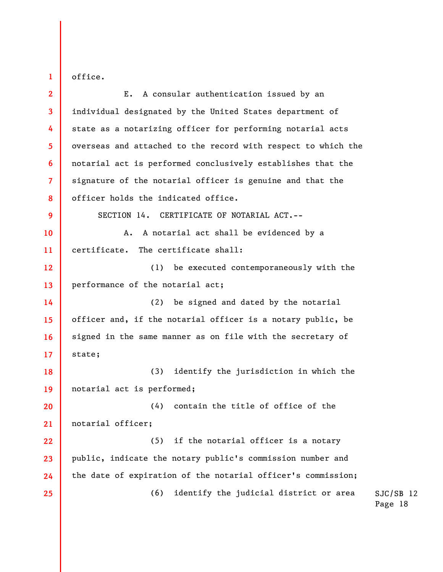office.

1

2 3 4 5 6 7 8 9 10 11 12 13 14 15 16 17 18 19 20 21 22 23 24 25 E. A consular authentication issued by an individual designated by the United States department of state as a notarizing officer for performing notarial acts overseas and attached to the record with respect to which the notarial act is performed conclusively establishes that the signature of the notarial officer is genuine and that the officer holds the indicated office. SECTION 14. CERTIFICATE OF NOTARIAL ACT.-- A. A notarial act shall be evidenced by a certificate. The certificate shall: (1) be executed contemporaneously with the performance of the notarial act; (2) be signed and dated by the notarial officer and, if the notarial officer is a notary public, be signed in the same manner as on file with the secretary of state; (3) identify the jurisdiction in which the notarial act is performed; (4) contain the title of office of the notarial officer; (5) if the notarial officer is a notary public, indicate the notary public's commission number and the date of expiration of the notarial officer's commission; (6) identify the judicial district or area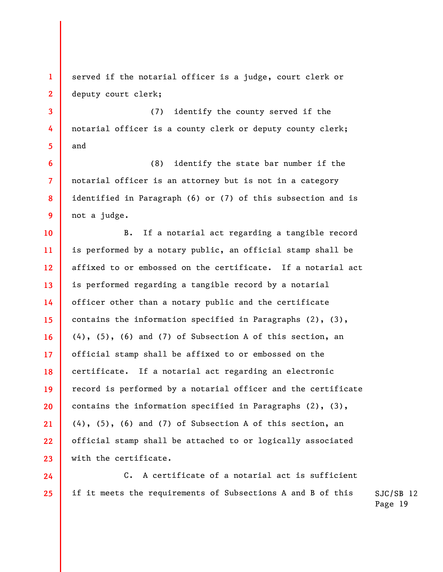1 2 served if the notarial officer is a judge, court clerk or deputy court clerk;

3

4

5

6

7

8

9

24

25

(7) identify the county served if the notarial officer is a county clerk or deputy county clerk; and

(8) identify the state bar number if the notarial officer is an attorney but is not in a category identified in Paragraph (6) or (7) of this subsection and is not a judge.

10 11 12 13 14 15 16 17 18 19 20 21 22 23 B. If a notarial act regarding a tangible record is performed by a notary public, an official stamp shall be affixed to or embossed on the certificate. If a notarial act is performed regarding a tangible record by a notarial officer other than a notary public and the certificate contains the information specified in Paragraphs (2), (3), (4), (5), (6) and (7) of Subsection A of this section, an official stamp shall be affixed to or embossed on the certificate. If a notarial act regarding an electronic record is performed by a notarial officer and the certificate contains the information specified in Paragraphs  $(2)$ ,  $(3)$ , (4), (5), (6) and (7) of Subsection A of this section, an official stamp shall be attached to or logically associated with the certificate.

C. A certificate of a notarial act is sufficient if it meets the requirements of Subsections A and B of this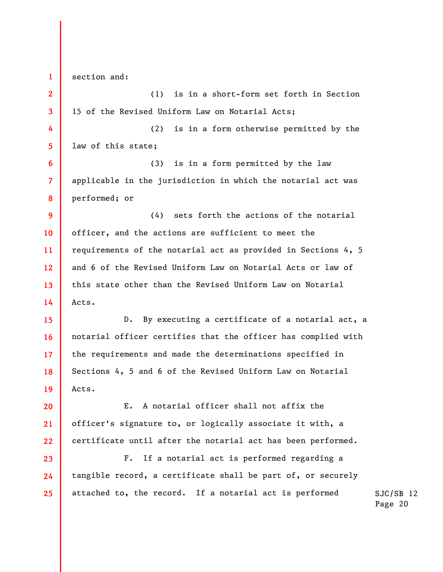1 2 3 4 5 6 7 8 9 10 11 12 13 14 15 16 17 18 19 20 21 22 23 24 section and: (1) is in a short-form set forth in Section 15 of the Revised Uniform Law on Notarial Acts; (2) is in a form otherwise permitted by the law of this state; (3) is in a form permitted by the law applicable in the jurisdiction in which the notarial act was performed; or (4) sets forth the actions of the notarial officer, and the actions are sufficient to meet the requirements of the notarial act as provided in Sections 4, 5 and 6 of the Revised Uniform Law on Notarial Acts or law of this state other than the Revised Uniform Law on Notarial Acts. D. By executing a certificate of a notarial act, a notarial officer certifies that the officer has complied with the requirements and made the determinations specified in Sections 4, 5 and 6 of the Revised Uniform Law on Notarial Acts. E. A notarial officer shall not affix the officer's signature to, or logically associate it with, a certificate until after the notarial act has been performed. F. If a notarial act is performed regarding a tangible record, a certificate shall be part of, or securely

attached to, the record. If a notarial act is performed

25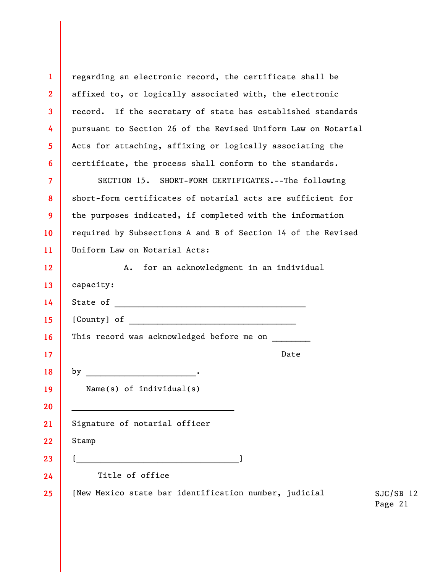| $\mathbf{1}$            | regarding an electronic record, the certificate shall be                        |
|-------------------------|---------------------------------------------------------------------------------|
| $\overline{2}$          | affixed to, or logically associated with, the electronic                        |
| $\overline{\mathbf{3}}$ | record. If the secretary of state has established standards                     |
| 4                       | pursuant to Section 26 of the Revised Uniform Law on Notarial                   |
| 5                       | Acts for attaching, affixing or logically associating the                       |
| $6\phantom{1}6$         | certificate, the process shall conform to the standards.                        |
| $\overline{7}$          | SECTION 15. SHORT-FORM CERTIFICATES.--The following                             |
| 8                       | short-form certificates of notarial acts are sufficient for                     |
| 9                       | the purposes indicated, if completed with the information                       |
| 10                      | required by Subsections A and B of Section 14 of the Revised                    |
| 11                      | Uniform Law on Notarial Acts:                                                   |
| 12                      | for an acknowledgment in an individual<br>A.                                    |
| 13                      | capacity:                                                                       |
| 14                      | State of                                                                        |
| 15                      | [County] of                                                                     |
| 16                      | This record was acknowledged before me on                                       |
| 17                      | Date                                                                            |
| 18                      | by                                                                              |
| 19                      | Name(s) of $individual(s)$                                                      |
| 20                      |                                                                                 |
| 21                      | Signature of notarial officer                                                   |
| 22                      | Stamp                                                                           |
| 23                      |                                                                                 |
| 24                      | Title of office                                                                 |
| 25                      | [New Mexico state bar identification number, judicial<br>$SJC/SB$ 12<br>Page 21 |
|                         |                                                                                 |
|                         |                                                                                 |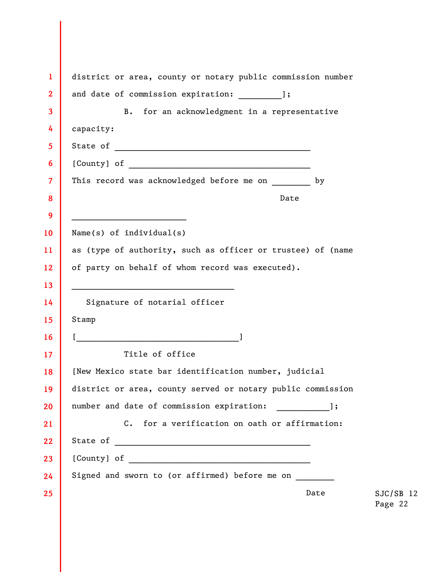| $\mathbf{1}$            | district or area, county or notary public commission number             |
|-------------------------|-------------------------------------------------------------------------|
| $\overline{\mathbf{2}}$ | and date of commission expiration: [3];                                 |
| 3                       | B. for an acknowledgment in a representative                            |
| 4                       | capacity:                                                               |
| 5                       |                                                                         |
| 6                       |                                                                         |
| $\overline{\mathbf{7}}$ | This record was acknowledged before me on by                            |
| 8                       | Date                                                                    |
| 9                       |                                                                         |
| 10                      | Name(s) of $individual(s)$                                              |
| 11                      | as (type of authority, such as officer or trustee) of (name             |
| 12                      | of party on behalf of whom record was executed).                        |
| 13                      | <u> 1990 - Johann John Barn, mars an deus Amerikaansk kommunister (</u> |
| 14                      | Signature of notarial officer                                           |
| 15 <sub>2</sub>         | Stamp                                                                   |
| 16                      |                                                                         |
| 17                      | Title of office                                                         |
| 18                      | [New Mexico state bar identification number, judicial                   |
| 19                      | district or area, county served or notary public commission             |
| 20                      | number and date of commission expiration: [13],                         |
| 21                      | C. for a verification on oath or affirmation:                           |
| 22                      |                                                                         |
| 23                      |                                                                         |
| 24                      | Signed and sworn to (or affirmed) before me on ________                 |
| 25                      | Date<br>$SJC/SB$ 12<br>Page 22                                          |
|                         |                                                                         |
|                         |                                                                         |
|                         |                                                                         |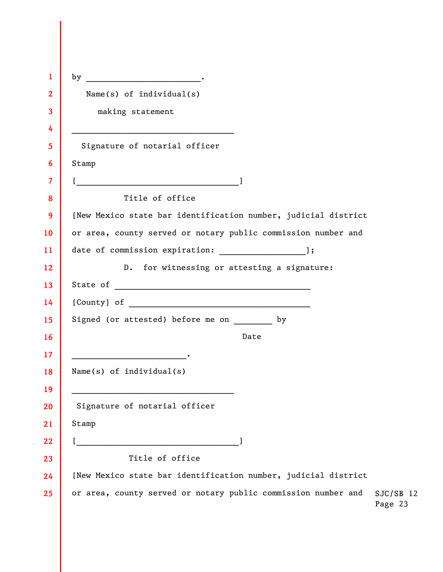| 1                       |                                                                                                                      |                        |
|-------------------------|----------------------------------------------------------------------------------------------------------------------|------------------------|
| $\mathbf{2}$            | Name(s) of $individual(s)$                                                                                           |                        |
| 3                       | making statement                                                                                                     |                        |
| 4                       | <u> 1989 - Johann Stein, marwolaethau a bhann an t-Amhain an t-Amhain an t-Amhain an t-Amhain an t-Amhain an t-A</u> |                        |
| 5                       | Signature of notarial officer                                                                                        |                        |
| 6                       | Stamp                                                                                                                |                        |
| $\overline{\mathbf{7}}$ | [ <u>_________________________________</u> ]                                                                         |                        |
| 8                       | Title of office                                                                                                      |                        |
| 9                       | [New Mexico state bar identification number, judicial district                                                       |                        |
| 10                      | or area, county served or notary public commission number and                                                        |                        |
| 11                      |                                                                                                                      |                        |
| 12                      | D. for witnessing or attesting a signature:                                                                          |                        |
| 13                      |                                                                                                                      |                        |
| 14                      |                                                                                                                      |                        |
| 15                      | Signed (or attested) before me on by                                                                                 |                        |
| 16                      | Date                                                                                                                 |                        |
| 17                      |                                                                                                                      |                        |
| 18                      | Name(s) of $individual(s)$                                                                                           |                        |
| 19                      |                                                                                                                      |                        |
| 20                      | Signature of notarial officer                                                                                        |                        |
| 21                      | Stamp                                                                                                                |                        |
| 22                      |                                                                                                                      |                        |
| 23                      | Title of office                                                                                                      |                        |
| 24                      | [New Mexico state bar identification number, judicial district                                                       |                        |
| 25                      | or area, county served or notary public commission number and                                                        | $SJC/SB$ 12<br>Page 23 |

 $\begin{array}{c} \hline \end{array}$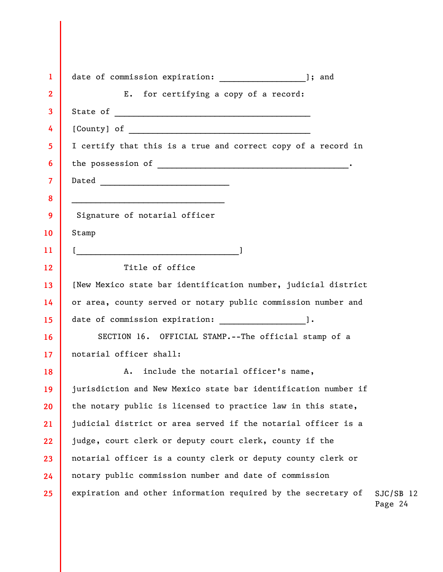| $\mathbf{1}$    | date of commission expiration: [31] ]; and                                              |
|-----------------|-----------------------------------------------------------------------------------------|
| $\overline{2}$  | E. for certifying a copy of a record:                                                   |
| 3               |                                                                                         |
| 4               |                                                                                         |
| 5               | I certify that this is a true and correct copy of a record in                           |
| 6               |                                                                                         |
| $\overline{7}$  |                                                                                         |
| 8               |                                                                                         |
| 9               | Signature of notarial officer                                                           |
| 10              | Stamp                                                                                   |
| 11              |                                                                                         |
| 12 <sup>2</sup> | Title of office                                                                         |
| 13              | [New Mexico state bar identification number, judicial district                          |
| 14              | or area, county served or notary public commission number and                           |
| 15 <sub>2</sub> | date of commission expiration: [1.1].                                                   |
| 16              | SECTION 16. OFFICIAL STAMP.--The official stamp of a                                    |
| 17 <sup>2</sup> | notarial officer shall:                                                                 |
| 18              | include the notarial officer's name,<br>Α.                                              |
| 19              | jurisdiction and New Mexico state bar identification number if                          |
| 20              | the notary public is licensed to practice law in this state,                            |
| 21              | judicial district or area served if the notarial officer is a                           |
| 22              | judge, court clerk or deputy court clerk, county if the                                 |
| 23              | notarial officer is a county clerk or deputy county clerk or                            |
| 24              | notary public commission number and date of commission                                  |
| 25              | expiration and other information required by the secretary of<br>$SJC/SB$ 12<br>Page 24 |

 $\overline{\phantom{a}}$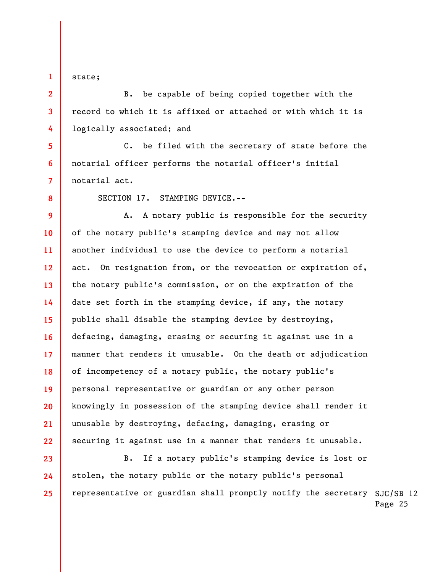state;

1

2

3

4

5

6

7

8

23

24

25

B. be capable of being copied together with the record to which it is affixed or attached or with which it is logically associated; and

C. be filed with the secretary of state before the notarial officer performs the notarial officer's initial notarial act.

SECTION 17. STAMPING DEVICE.--

9 10 11 12 13 14 15 16 17 18 19 20 21 22 A. A notary public is responsible for the security of the notary public's stamping device and may not allow another individual to use the device to perform a notarial act. On resignation from, or the revocation or expiration of, the notary public's commission, or on the expiration of the date set forth in the stamping device, if any, the notary public shall disable the stamping device by destroying, defacing, damaging, erasing or securing it against use in a manner that renders it unusable. On the death or adjudication of incompetency of a notary public, the notary public's personal representative or guardian or any other person knowingly in possession of the stamping device shall render it unusable by destroying, defacing, damaging, erasing or securing it against use in a manner that renders it unusable.

representative or guardian shall promptly notify the secretary SJC/SB 12 B. If a notary public's stamping device is lost or stolen, the notary public or the notary public's personal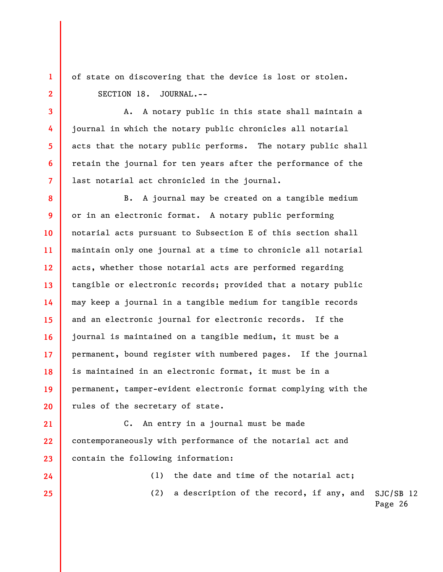of state on discovering that the device is lost or stolen. SECTION 18. JOURNAL.--

1

2

3

4

5

6

7

21

24

25

A. A notary public in this state shall maintain a journal in which the notary public chronicles all notarial acts that the notary public performs. The notary public shall retain the journal for ten years after the performance of the last notarial act chronicled in the journal.

8 9 10 11 12 13 14 15 16 17 18 19 20 B. A journal may be created on a tangible medium or in an electronic format. A notary public performing notarial acts pursuant to Subsection E of this section shall maintain only one journal at a time to chronicle all notarial acts, whether those notarial acts are performed regarding tangible or electronic records; provided that a notary public may keep a journal in a tangible medium for tangible records and an electronic journal for electronic records. If the journal is maintained on a tangible medium, it must be a permanent, bound register with numbered pages. If the journal is maintained in an electronic format, it must be in a permanent, tamper-evident electronic format complying with the rules of the secretary of state.

22 23 C. An entry in a journal must be made contemporaneously with performance of the notarial act and contain the following information:

(1) the date and time of the notarial act;

SJC/SB 12 (2) a description of the record, if any, and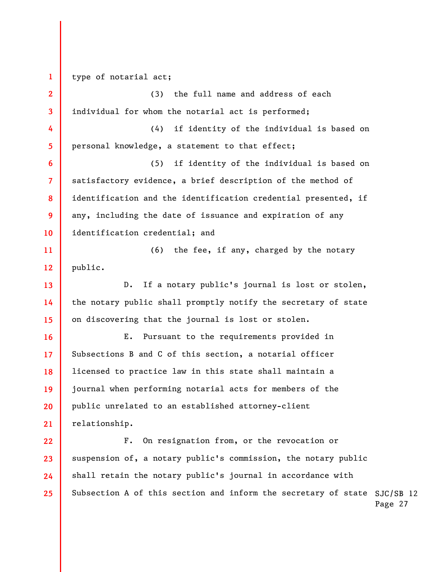Subsection A of this section and inform the secretary of state SJC/SB 12 1 2 3 4 5 6 7 8 9 10 11 12 13 14 15 16 17 18 19 20 21 22 23 24 25 type of notarial act; (3) the full name and address of each individual for whom the notarial act is performed; (4) if identity of the individual is based on personal knowledge, a statement to that effect; (5) if identity of the individual is based on satisfactory evidence, a brief description of the method of identification and the identification credential presented, if any, including the date of issuance and expiration of any identification credential; and (6) the fee, if any, charged by the notary public. D. If a notary public's journal is lost or stolen, the notary public shall promptly notify the secretary of state on discovering that the journal is lost or stolen. E. Pursuant to the requirements provided in Subsections B and C of this section, a notarial officer licensed to practice law in this state shall maintain a journal when performing notarial acts for members of the public unrelated to an established attorney-client relationship. F. On resignation from, or the revocation or suspension of, a notary public's commission, the notary public shall retain the notary public's journal in accordance with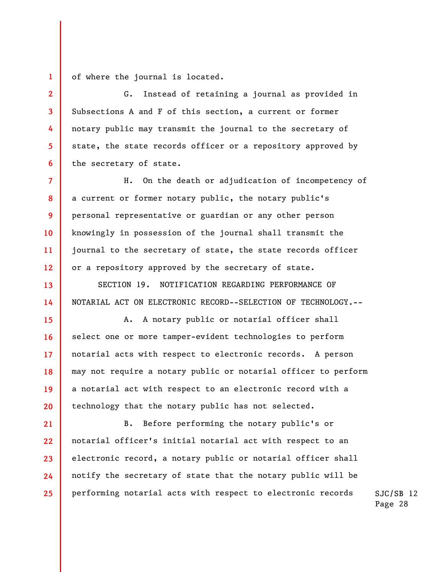1 of where the journal is located.

2

3

4

5

6

13

14

15

16

17

18

19

20

G. Instead of retaining a journal as provided in Subsections A and F of this section, a current or former notary public may transmit the journal to the secretary of state, the state records officer or a repository approved by the secretary of state.

7 8 9 10 11 12 H. On the death or adjudication of incompetency of a current or former notary public, the notary public's personal representative or guardian or any other person knowingly in possession of the journal shall transmit the journal to the secretary of state, the state records officer or a repository approved by the secretary of state.

SECTION 19. NOTIFICATION REGARDING PERFORMANCE OF NOTARIAL ACT ON ELECTRONIC RECORD--SELECTION OF TECHNOLOGY.--

A. A notary public or notarial officer shall select one or more tamper-evident technologies to perform notarial acts with respect to electronic records. A person may not require a notary public or notarial officer to perform a notarial act with respect to an electronic record with a technology that the notary public has not selected.

21 22 23 24 25 B. Before performing the notary public's or notarial officer's initial notarial act with respect to an electronic record, a notary public or notarial officer shall notify the secretary of state that the notary public will be performing notarial acts with respect to electronic records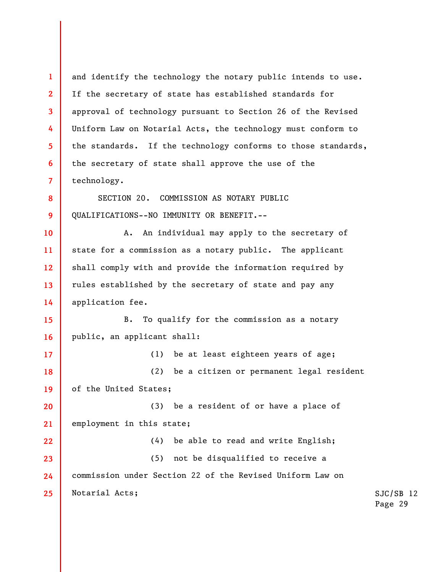SJC/SB 12 Page 29 1 2 3 4 5 6 7 8 9 10 11 12 13 14 15 16 17 18 19 20 21 22 23 24 25 and identify the technology the notary public intends to use. If the secretary of state has established standards for approval of technology pursuant to Section 26 of the Revised Uniform Law on Notarial Acts, the technology must conform to the standards. If the technology conforms to those standards, the secretary of state shall approve the use of the technology. SECTION 20. COMMISSION AS NOTARY PUBLIC QUALIFICATIONS--NO IMMUNITY OR BENEFIT.-- A. An individual may apply to the secretary of state for a commission as a notary public. The applicant shall comply with and provide the information required by rules established by the secretary of state and pay any application fee. B. To qualify for the commission as a notary public, an applicant shall: (1) be at least eighteen years of age; (2) be a citizen or permanent legal resident of the United States; (3) be a resident of or have a place of employment in this state; (4) be able to read and write English; (5) not be disqualified to receive a commission under Section 22 of the Revised Uniform Law on Notarial Acts;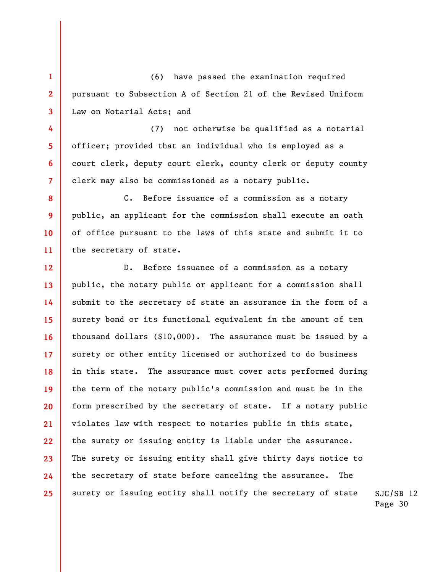(6) have passed the examination required pursuant to Subsection A of Section 21 of the Revised Uniform Law on Notarial Acts; and

1

2

3

4

5

6

7

8

9

10

11

(7) not otherwise be qualified as a notarial officer; provided that an individual who is employed as a court clerk, deputy court clerk, county clerk or deputy county clerk may also be commissioned as a notary public.

C. Before issuance of a commission as a notary public, an applicant for the commission shall execute an oath of office pursuant to the laws of this state and submit it to the secretary of state.

12 13 14 15 16 17 18 19 20 21 22 23 24 25 D. Before issuance of a commission as a notary public, the notary public or applicant for a commission shall submit to the secretary of state an assurance in the form of a surety bond or its functional equivalent in the amount of ten thousand dollars (\$10,000). The assurance must be issued by a surety or other entity licensed or authorized to do business in this state. The assurance must cover acts performed during the term of the notary public's commission and must be in the form prescribed by the secretary of state. If a notary public violates law with respect to notaries public in this state, the surety or issuing entity is liable under the assurance. The surety or issuing entity shall give thirty days notice to the secretary of state before canceling the assurance. The surety or issuing entity shall notify the secretary of state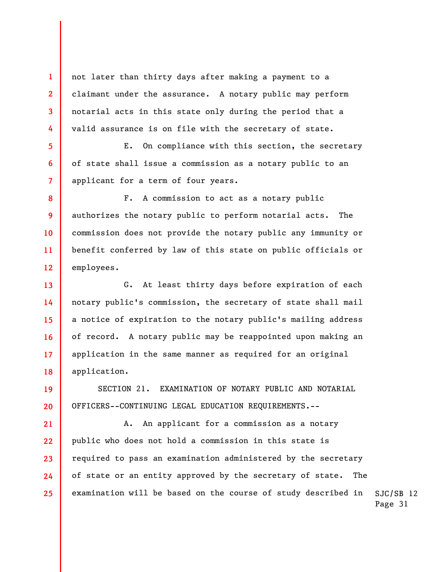not later than thirty days after making a payment to a claimant under the assurance. A notary public may perform notarial acts in this state only during the period that a valid assurance is on file with the secretary of state.

1

2

3

4

5

6

7

13

14

15

16

17

18

19

20

E. On compliance with this section, the secretary of state shall issue a commission as a notary public to an applicant for a term of four years.

8 9 10 11 12 F. A commission to act as a notary public authorizes the notary public to perform notarial acts. The commission does not provide the notary public any immunity or benefit conferred by law of this state on public officials or employees.

G. At least thirty days before expiration of each notary public's commission, the secretary of state shall mail a notice of expiration to the notary public's mailing address of record. A notary public may be reappointed upon making an application in the same manner as required for an original application.

SECTION 21. EXAMINATION OF NOTARY PUBLIC AND NOTARIAL OFFICERS--CONTINUING LEGAL EDUCATION REQUIREMENTS.--

SJC/SB 12 21 22 23 24 25 A. An applicant for a commission as a notary public who does not hold a commission in this state is required to pass an examination administered by the secretary of state or an entity approved by the secretary of state. The examination will be based on the course of study described in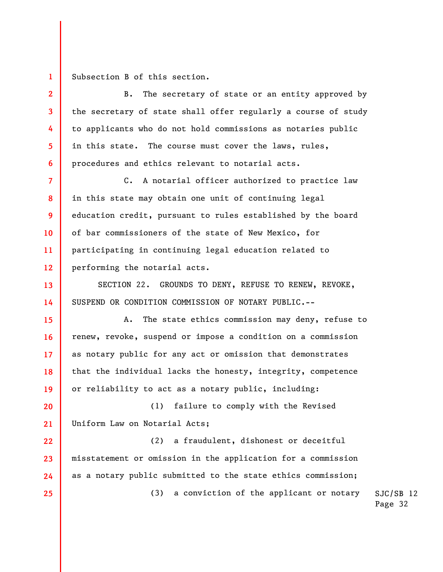1 Subsection B of this section.

2

3

4

5

6

13

15

16

17

19

25

B. The secretary of state or an entity approved by the secretary of state shall offer regularly a course of study to applicants who do not hold commissions as notaries public in this state. The course must cover the laws, rules, procedures and ethics relevant to notarial acts.

7 8 9 10 11 12 C. A notarial officer authorized to practice law in this state may obtain one unit of continuing legal education credit, pursuant to rules established by the board of bar commissioners of the state of New Mexico, for participating in continuing legal education related to performing the notarial acts.

14 SECTION 22. GROUNDS TO DENY, REFUSE TO RENEW, REVOKE, SUSPEND OR CONDITION COMMISSION OF NOTARY PUBLIC.--

18 A. The state ethics commission may deny, refuse to renew, revoke, suspend or impose a condition on a commission as notary public for any act or omission that demonstrates that the individual lacks the honesty, integrity, competence or reliability to act as a notary public, including:

20 21 (1) failure to comply with the Revised Uniform Law on Notarial Acts;

22 23 24 (2) a fraudulent, dishonest or deceitful misstatement or omission in the application for a commission as a notary public submitted to the state ethics commission;

(3) a conviction of the applicant or notary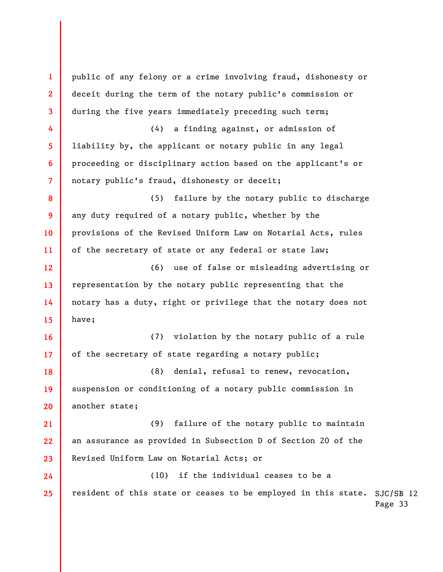resident of this state or ceases to be employed in this state. SJC/SB 12 Page 33 1 2 3 4 5 6 7 8 9 10 11 12 13 14 15 16 17 18 19 20 21 22 23 24 25 public of any felony or a crime involving fraud, dishonesty or deceit during the term of the notary public's commission or during the five years immediately preceding such term; (4) a finding against, or admission of liability by, the applicant or notary public in any legal proceeding or disciplinary action based on the applicant's or notary public's fraud, dishonesty or deceit; (5) failure by the notary public to discharge any duty required of a notary public, whether by the provisions of the Revised Uniform Law on Notarial Acts, rules of the secretary of state or any federal or state law; (6) use of false or misleading advertising or representation by the notary public representing that the notary has a duty, right or privilege that the notary does not have; (7) violation by the notary public of a rule of the secretary of state regarding a notary public; (8) denial, refusal to renew, revocation, suspension or conditioning of a notary public commission in another state; (9) failure of the notary public to maintain an assurance as provided in Subsection D of Section 20 of the Revised Uniform Law on Notarial Acts; or (10) if the individual ceases to be a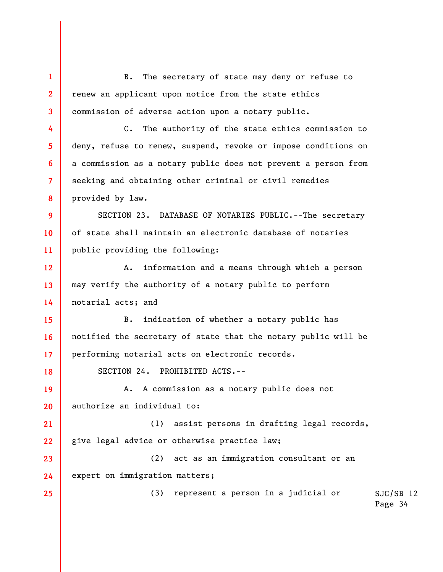SJC/SB 12 Page 34 1 2 3 4 5 6 7 8 9 10 11 12 13 14 15 16 17 18 19 20 21 22 23 24 25 B. The secretary of state may deny or refuse to renew an applicant upon notice from the state ethics commission of adverse action upon a notary public. C. The authority of the state ethics commission to deny, refuse to renew, suspend, revoke or impose conditions on a commission as a notary public does not prevent a person from seeking and obtaining other criminal or civil remedies provided by law. SECTION 23. DATABASE OF NOTARIES PUBLIC.--The secretary of state shall maintain an electronic database of notaries public providing the following: A. information and a means through which a person may verify the authority of a notary public to perform notarial acts; and B. indication of whether a notary public has notified the secretary of state that the notary public will be performing notarial acts on electronic records. SECTION 24. PROHIBITED ACTS.-- A. A commission as a notary public does not authorize an individual to: (1) assist persons in drafting legal records, give legal advice or otherwise practice law; (2) act as an immigration consultant or an expert on immigration matters; (3) represent a person in a judicial or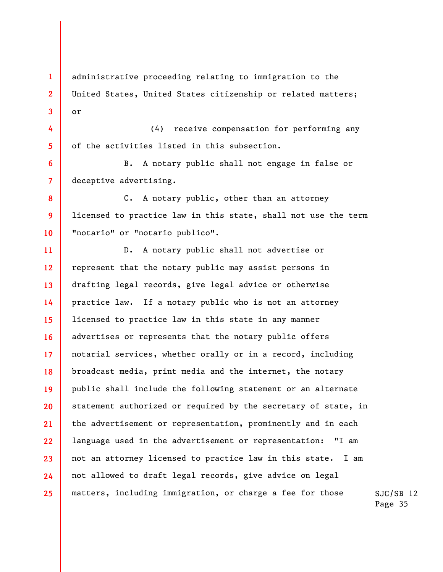1 2 3 administrative proceeding relating to immigration to the United States, United States citizenship or related matters; or

4 5 (4) receive compensation for performing any of the activities listed in this subsection.

B. A notary public shall not engage in false or deceptive advertising.

6

7

8

9

10

C. A notary public, other than an attorney licensed to practice law in this state, shall not use the term "notario" or "notario publico".

SJC/SB 12 11 12 13 14 15 16 17 18 19 20 21 22 23 24 25 D. A notary public shall not advertise or represent that the notary public may assist persons in drafting legal records, give legal advice or otherwise practice law. If a notary public who is not an attorney licensed to practice law in this state in any manner advertises or represents that the notary public offers notarial services, whether orally or in a record, including broadcast media, print media and the internet, the notary public shall include the following statement or an alternate statement authorized or required by the secretary of state, in the advertisement or representation, prominently and in each language used in the advertisement or representation: "I am not an attorney licensed to practice law in this state. I am not allowed to draft legal records, give advice on legal matters, including immigration, or charge a fee for those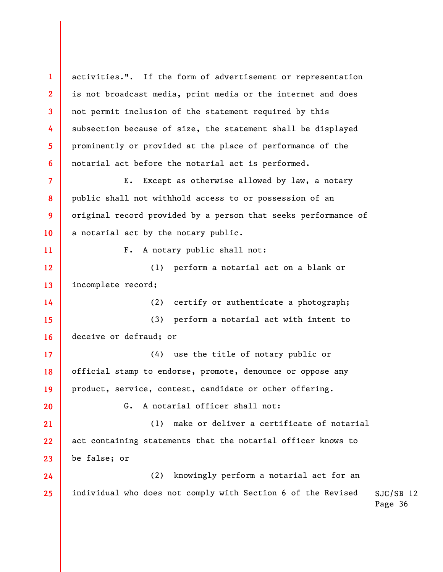1 2 3 4 5 6 7 8 9 10 11 12 13 14 15 16 17 18 19 20 21 22 23 24 25 activities.". If the form of advertisement or representation is not broadcast media, print media or the internet and does not permit inclusion of the statement required by this subsection because of size, the statement shall be displayed prominently or provided at the place of performance of the notarial act before the notarial act is performed. E. Except as otherwise allowed by law, a notary public shall not withhold access to or possession of an original record provided by a person that seeks performance of a notarial act by the notary public. F. A notary public shall not: (1) perform a notarial act on a blank or incomplete record; (2) certify or authenticate a photograph; (3) perform a notarial act with intent to deceive or defraud; or (4) use the title of notary public or official stamp to endorse, promote, denounce or oppose any product, service, contest, candidate or other offering. G. A notarial officer shall not: (1) make or deliver a certificate of notarial act containing statements that the notarial officer knows to be false; or (2) knowingly perform a notarial act for an individual who does not comply with Section 6 of the Revised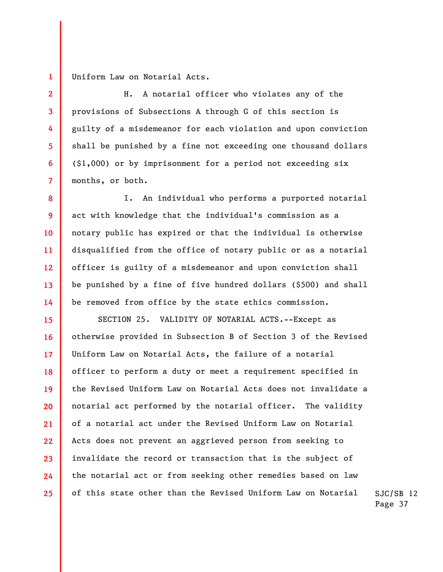1 Uniform Law on Notarial Acts.

2

3

4

5

6

7

8

9

10

11

12

13

14

H. A notarial officer who violates any of the provisions of Subsections A through G of this section is guilty of a misdemeanor for each violation and upon conviction shall be punished by a fine not exceeding one thousand dollars (\$1,000) or by imprisonment for a period not exceeding six months, or both.

I. An individual who performs a purported notarial act with knowledge that the individual's commission as a notary public has expired or that the individual is otherwise disqualified from the office of notary public or as a notarial officer is guilty of a misdemeanor and upon conviction shall be punished by a fine of five hundred dollars (\$500) and shall be removed from office by the state ethics commission.

15 16 17 18 19 20 21 22 23 24 25 SECTION 25. VALIDITY OF NOTARIAL ACTS.--Except as otherwise provided in Subsection B of Section 3 of the Revised Uniform Law on Notarial Acts, the failure of a notarial officer to perform a duty or meet a requirement specified in the Revised Uniform Law on Notarial Acts does not invalidate a notarial act performed by the notarial officer. The validity of a notarial act under the Revised Uniform Law on Notarial Acts does not prevent an aggrieved person from seeking to invalidate the record or transaction that is the subject of the notarial act or from seeking other remedies based on law of this state other than the Revised Uniform Law on Notarial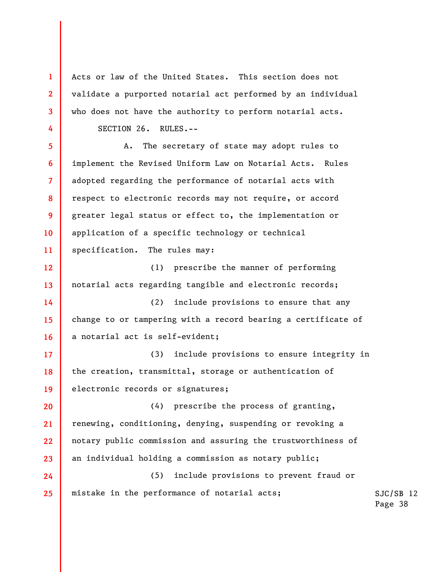Acts or law of the United States. This section does not validate a purported notarial act performed by an individual who does not have the authority to perform notarial acts. SECTION 26. RULES.--

1

2

3

4

5

7

9

10

6 8 11 A. The secretary of state may adopt rules to implement the Revised Uniform Law on Notarial Acts. Rules adopted regarding the performance of notarial acts with respect to electronic records may not require, or accord greater legal status or effect to, the implementation or application of a specific technology or technical specification. The rules may:

12 13 (1) prescribe the manner of performing notarial acts regarding tangible and electronic records;

14 15 16 (2) include provisions to ensure that any change to or tampering with a record bearing a certificate of a notarial act is self-evident;

17 18 19 (3) include provisions to ensure integrity in the creation, transmittal, storage or authentication of electronic records or signatures;

20 21 22 23 (4) prescribe the process of granting, renewing, conditioning, denying, suspending or revoking a notary public commission and assuring the trustworthiness of an individual holding a commission as notary public;

24 25 (5) include provisions to prevent fraud or mistake in the performance of notarial acts;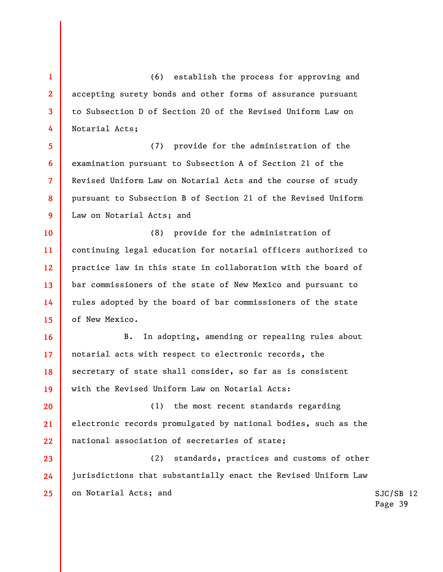(6) establish the process for approving and accepting surety bonds and other forms of assurance pursuant to Subsection D of Section 20 of the Revised Uniform Law on Notarial Acts;

1

2

3

4

5 6 7 8 9 (7) provide for the administration of the examination pursuant to Subsection A of Section 21 of the Revised Uniform Law on Notarial Acts and the course of study pursuant to Subsection B of Section 21 of the Revised Uniform Law on Notarial Acts; and

10 11 12 13 14 15 (8) provide for the administration of continuing legal education for notarial officers authorized to practice law in this state in collaboration with the board of bar commissioners of the state of New Mexico and pursuant to rules adopted by the board of bar commissioners of the state of New Mexico.

16 17 18 19 B. In adopting, amending or repealing rules about notarial acts with respect to electronic records, the secretary of state shall consider, so far as is consistent with the Revised Uniform Law on Notarial Acts:

20 21 22 (1) the most recent standards regarding electronic records promulgated by national bodies, such as the national association of secretaries of state;

23 24 25 (2) standards, practices and customs of other jurisdictions that substantially enact the Revised Uniform Law on Notarial Acts; and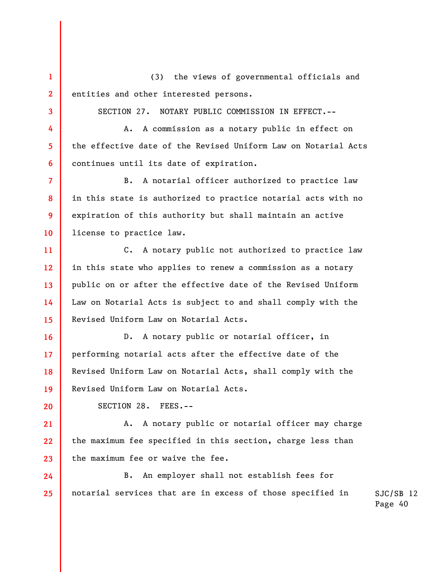1 2 (3) the views of governmental officials and entities and other interested persons.

SECTION 27. NOTARY PUBLIC COMMISSION IN EFFECT.--

A. A commission as a notary public in effect on the effective date of the Revised Uniform Law on Notarial Acts continues until its date of expiration.

7 8 9 10 B. A notarial officer authorized to practice law in this state is authorized to practice notarial acts with no expiration of this authority but shall maintain an active license to practice law.

11 12 13 14 15 C. A notary public not authorized to practice law in this state who applies to renew a commission as a notary public on or after the effective date of the Revised Uniform Law on Notarial Acts is subject to and shall comply with the Revised Uniform Law on Notarial Acts.

16 17 18 19 D. A notary public or notarial officer, in performing notarial acts after the effective date of the Revised Uniform Law on Notarial Acts, shall comply with the Revised Uniform Law on Notarial Acts.

SECTION 28. FEES.--

3

4

5

6

20

21 22 23 A. A notary public or notarial officer may charge the maximum fee specified in this section, charge less than the maximum fee or waive the fee.

SJC/SB 12 24 25 B. An employer shall not establish fees for notarial services that are in excess of those specified in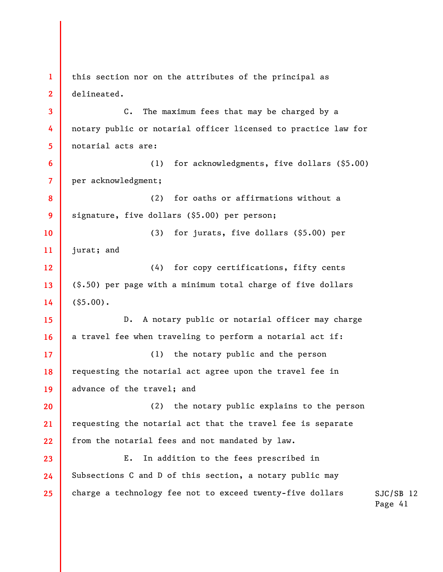1 2 3 4 5 6 7 8 9 10 11 12 13 14 15 16 17 18 19 20 21 22 23 24 25 this section nor on the attributes of the principal as delineated. C. The maximum fees that may be charged by a notary public or notarial officer licensed to practice law for notarial acts are: (1) for acknowledgments, five dollars (\$5.00) per acknowledgment; (2) for oaths or affirmations without a signature, five dollars (\$5.00) per person; (3) for jurats, five dollars (\$5.00) per jurat; and (4) for copy certifications, fifty cents (\$.50) per page with a minimum total charge of five dollars  $($ \$5.00). D. A notary public or notarial officer may charge a travel fee when traveling to perform a notarial act if: (1) the notary public and the person requesting the notarial act agree upon the travel fee in advance of the travel; and (2) the notary public explains to the person requesting the notarial act that the travel fee is separate from the notarial fees and not mandated by law. E. In addition to the fees prescribed in Subsections C and D of this section, a notary public may charge a technology fee not to exceed twenty-five dollars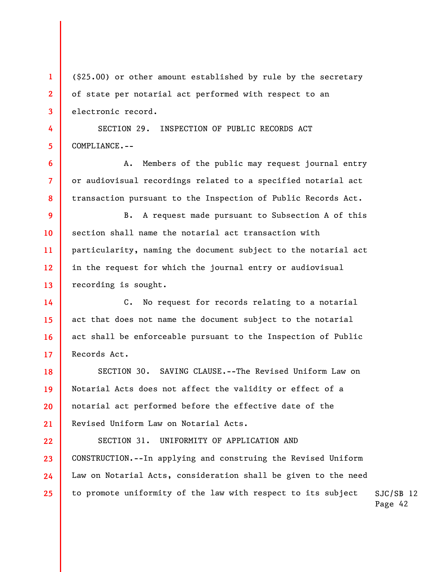(\$25.00) or other amount established by rule by the secretary of state per notarial act performed with respect to an electronic record.

SECTION 29. INSPECTION OF PUBLIC RECORDS ACT COMPLIANCE.--

1

2

3

4

5

6

7

8

A. Members of the public may request journal entry or audiovisual recordings related to a specified notarial act transaction pursuant to the Inspection of Public Records Act.

9 10 11 12 13 B. A request made pursuant to Subsection A of this section shall name the notarial act transaction with particularity, naming the document subject to the notarial act in the request for which the journal entry or audiovisual recording is sought.

14 15 16 17 C. No request for records relating to a notarial act that does not name the document subject to the notarial act shall be enforceable pursuant to the Inspection of Public Records Act.

18 19 20 21 SECTION 30. SAVING CLAUSE.--The Revised Uniform Law on Notarial Acts does not affect the validity or effect of a notarial act performed before the effective date of the Revised Uniform Law on Notarial Acts.

SJC/SB 12 22 23 24 25 SECTION 31. UNIFORMITY OF APPLICATION AND CONSTRUCTION.--In applying and construing the Revised Uniform Law on Notarial Acts, consideration shall be given to the need to promote uniformity of the law with respect to its subject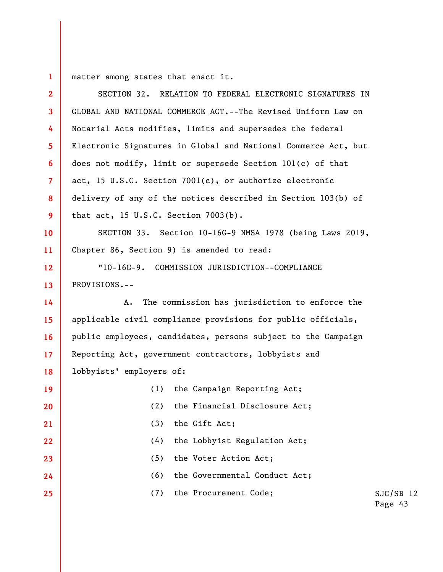1 matter among states that enact it.

2 3 4 5 6 7 8 9 10 11 12 13 14 15 16 17 18 19 20 21 22 23 24 25 SECTION 32. RELATION TO FEDERAL ELECTRONIC SIGNATURES IN GLOBAL AND NATIONAL COMMERCE ACT.--The Revised Uniform Law on Notarial Acts modifies, limits and supersedes the federal Electronic Signatures in Global and National Commerce Act, but does not modify, limit or supersede Section 101(c) of that act, 15 U.S.C. Section 7001(c), or authorize electronic delivery of any of the notices described in Section 103(b) of that act, 15 U.S.C. Section 7003(b). SECTION 33. Section 10-16G-9 NMSA 1978 (being Laws 2019, Chapter 86, Section 9) is amended to read: "10-16G-9. COMMISSION JURISDICTION--COMPLIANCE PROVISIONS.-- A. The commission has jurisdiction to enforce the applicable civil compliance provisions for public officials, public employees, candidates, persons subject to the Campaign Reporting Act, government contractors, lobbyists and lobbyists' employers of: (1) the Campaign Reporting Act; (2) the Financial Disclosure Act; (3) the Gift Act; (4) the Lobbyist Regulation Act; (5) the Voter Action Act; (6) the Governmental Conduct Act; (7) the Procurement Code;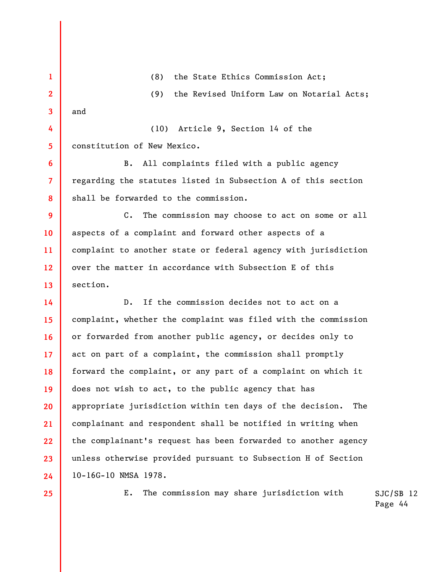1 2 3 4 5 6 7 8 9 10 11 12 13 14 15 16 17 18 19 20 21 22 23 24 (8) the State Ethics Commission Act; (9) the Revised Uniform Law on Notarial Acts; and (10) Article 9, Section 14 of the constitution of New Mexico. B. All complaints filed with a public agency regarding the statutes listed in Subsection A of this section shall be forwarded to the commission. C. The commission may choose to act on some or all aspects of a complaint and forward other aspects of a complaint to another state or federal agency with jurisdiction over the matter in accordance with Subsection E of this section. D. If the commission decides not to act on a complaint, whether the complaint was filed with the commission or forwarded from another public agency, or decides only to act on part of a complaint, the commission shall promptly forward the complaint, or any part of a complaint on which it does not wish to act, to the public agency that has appropriate jurisdiction within ten days of the decision. The complainant and respondent shall be notified in writing when the complainant's request has been forwarded to another agency unless otherwise provided pursuant to Subsection H of Section 10-16G-10 NMSA 1978.

25

E. The commission may share jurisdiction with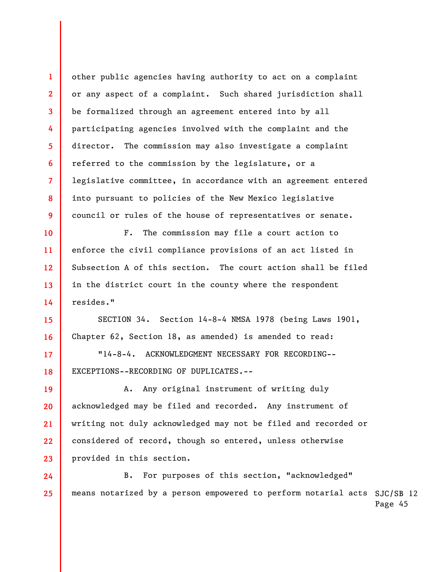other public agencies having authority to act on a complaint or any aspect of a complaint. Such shared jurisdiction shall be formalized through an agreement entered into by all participating agencies involved with the complaint and the director. The commission may also investigate a complaint referred to the commission by the legislature, or a legislative committee, in accordance with an agreement entered into pursuant to policies of the New Mexico legislative council or rules of the house of representatives or senate.

1

2

3

4

5

6

7

8

9

15

16

17

18

19

20

21

22

23

10 11 12 13 14 F. The commission may file a court action to enforce the civil compliance provisions of an act listed in Subsection A of this section. The court action shall be filed in the district court in the county where the respondent resides."

SECTION 34. Section 14-8-4 NMSA 1978 (being Laws 1901, Chapter 62, Section 18, as amended) is amended to read:

"14-8-4. ACKNOWLEDGMENT NECESSARY FOR RECORDING-- EXCEPTIONS--RECORDING OF DUPLICATES.--

A. Any original instrument of writing duly acknowledged may be filed and recorded. Any instrument of writing not duly acknowledged may not be filed and recorded or considered of record, though so entered, unless otherwise provided in this section.

means notarized by a person empowered to perform notarial acts SJC/SB 12 Page 45 24 25 B. For purposes of this section, "acknowledged"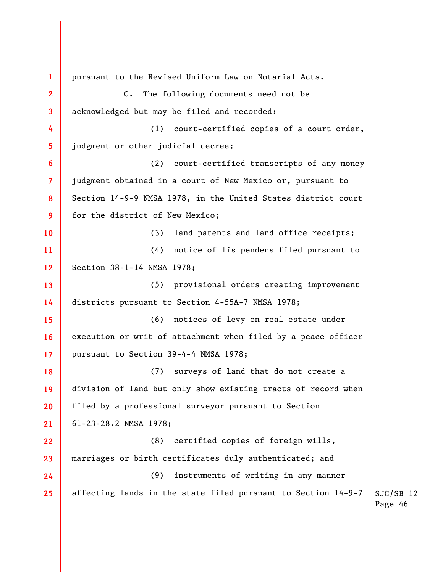SJC/SB 12 Page 46 1 2 3 4 5 6 7 8 9 10 11 12 13 14 15 16 17 18 19 20 21 22 23 24 25 pursuant to the Revised Uniform Law on Notarial Acts. C. The following documents need not be acknowledged but may be filed and recorded: (1) court-certified copies of a court order, judgment or other judicial decree; (2) court-certified transcripts of any money judgment obtained in a court of New Mexico or, pursuant to Section 14-9-9 NMSA 1978, in the United States district court for the district of New Mexico; (3) land patents and land office receipts; (4) notice of lis pendens filed pursuant to Section 38-1-14 NMSA 1978; (5) provisional orders creating improvement districts pursuant to Section 4-55A-7 NMSA 1978; (6) notices of levy on real estate under execution or writ of attachment when filed by a peace officer pursuant to Section 39-4-4 NMSA 1978; (7) surveys of land that do not create a division of land but only show existing tracts of record when filed by a professional surveyor pursuant to Section 61-23-28.2 NMSA 1978; (8) certified copies of foreign wills, marriages or birth certificates duly authenticated; and (9) instruments of writing in any manner affecting lands in the state filed pursuant to Section 14-9-7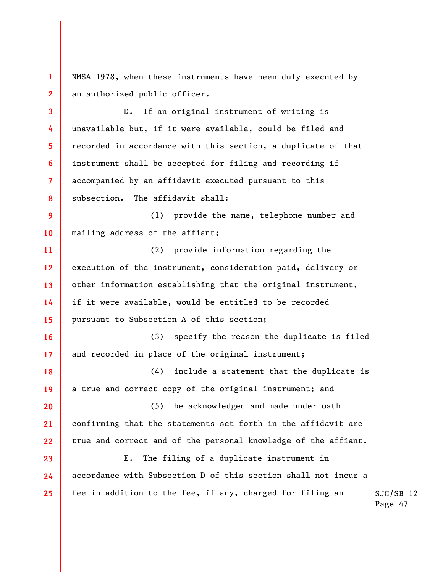NMSA 1978, when these instruments have been duly executed by an authorized public officer.

1

2

3 4 5 6 7 8 9 10 11 12 13 14 15 16 17 18 19 20 21 22 23 24 25 D. If an original instrument of writing is unavailable but, if it were available, could be filed and recorded in accordance with this section, a duplicate of that instrument shall be accepted for filing and recording if accompanied by an affidavit executed pursuant to this subsection. The affidavit shall: (1) provide the name, telephone number and mailing address of the affiant; (2) provide information regarding the execution of the instrument, consideration paid, delivery or other information establishing that the original instrument, if it were available, would be entitled to be recorded pursuant to Subsection A of this section; (3) specify the reason the duplicate is filed and recorded in place of the original instrument; (4) include a statement that the duplicate is a true and correct copy of the original instrument; and (5) be acknowledged and made under oath confirming that the statements set forth in the affidavit are true and correct and of the personal knowledge of the affiant. E. The filing of a duplicate instrument in accordance with Subsection D of this section shall not incur a fee in addition to the fee, if any, charged for filing an